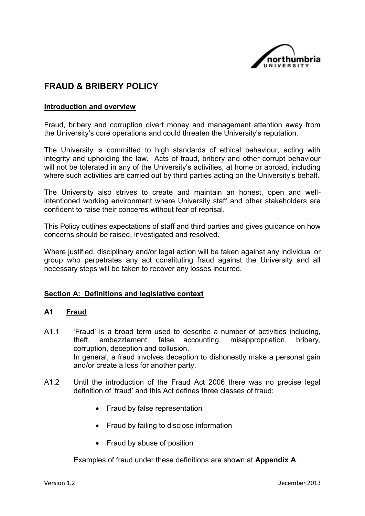

# **FRAUD & BRIBERY POLICY**

### **Introduction and overview**

Fraud, bribery and corruption divert money and management attention away from the University's core operations and could threaten the University's reputation.

The University is committed to high standards of ethical behaviour, acting with integrity and upholding the law. Acts of fraud, bribery and other corrupt behaviour will not be tolerated in any of the University's activities, at home or abroad, including where such activities are carried out by third parties acting on the University's behalf.

The University also strives to create and maintain an honest, open and wellintentioned working environment where University staff and other stakeholders are confident to raise their concerns without fear of reprisal.

This Policy outlines expectations of staff and third parties and gives guidance on how concerns should be raised, investigated and resolved.

Where justified, disciplinary and/or legal action will be taken against any individual or group who perpetrates any act constituting fraud against the University and all necessary steps will be taken to recover any losses incurred.

#### **Section A: Definitions and legislative context**

#### **A1 Fraud**

- A1.1 'Fraud' is a broad term used to describe a number of activities including, theft, embezzlement, false accounting, misappropriation, bribery, corruption, deception and collusion. In general, a fraud involves deception to dishonestly make a personal gain and/or create a loss for another party.
- A1.2 Until the introduction of the Fraud Act 2006 there was no precise legal definition of 'fraud' and this Act defines three classes of fraud:
	- Fraud by false representation
	- Fraud by failing to disclose information
	- Fraud by abuse of position

Examples of fraud under these definitions are shown at **Appendix A**.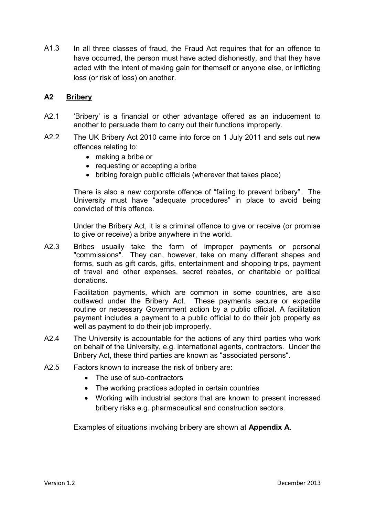A1.3 In all three classes of fraud, the Fraud Act requires that for an offence to have occurred, the person must have acted dishonestly, and that they have acted with the intent of making gain for themself or anyone else, or inflicting loss (or risk of loss) on another.

# **A2 Bribery**

- A2.1 'Bribery' is a financial or other advantage offered as an inducement to another to persuade them to carry out their functions improperly.
- A2.2 The UK Bribery Act 2010 came into force on 1 July 2011 and sets out new offences relating to:
	- making a bribe or
	- requesting or accepting a bribe
	- bribing foreign public officials (wherever that takes place)

There is also a new corporate offence of "failing to prevent bribery". The University must have "adequate procedures" in place to avoid being convicted of this offence.

Under the Bribery Act, it is a criminal offence to give or receive (or promise to give or receive) a bribe anywhere in the world.

A2.3 Bribes usually take the form of improper payments or personal "commissions". They can, however, take on many different shapes and forms, such as gift cards, gifts, entertainment and shopping trips, payment of travel and other expenses, secret rebates, or charitable or political donations.

> Facilitation payments, which are common in some countries, are also outlawed under the Bribery Act. These payments secure or expedite routine or necessary Government action by a public official. A facilitation payment includes a payment to a public official to do their job properly as well as payment to do their job improperly.

- A2.4 The University is accountable for the actions of any third parties who work on behalf of the University, e.g. international agents, contractors. Under the Bribery Act, these third parties are known as "associated persons".
- A2.5 Factors known to increase the risk of bribery are:
	- The use of sub-contractors
	- The working practices adopted in certain countries
	- Working with industrial sectors that are known to present increased bribery risks e.g. pharmaceutical and construction sectors.

Examples of situations involving bribery are shown at **Appendix A**.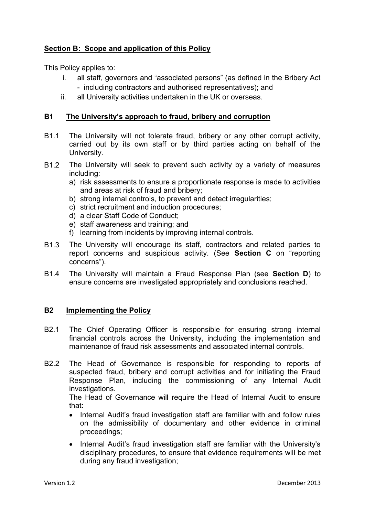# **Section B: Scope and application of this Policy**

This Policy applies to:

- i. all staff, governors and "associated persons" (as defined in the Bribery Act - including contractors and authorised representatives); and
- ii. all University activities undertaken in the UK or overseas.

# **B1 The University's approach to fraud, bribery and corruption**

- B1.1 The University will not tolerate fraud, bribery or any other corrupt activity, carried out by its own staff or by third parties acting on behalf of the University.
- B1.2 The University will seek to prevent such activity by a variety of measures including:
	- a) risk assessments to ensure a proportionate response is made to activities and areas at risk of fraud and bribery;
	- b) strong internal controls, to prevent and detect irregularities;
	- c) strict recruitment and induction procedures;
	- d) a clear Staff Code of Conduct;
	- e) staff awareness and training; and
	- f) learning from incidents by improving internal controls.
- B1.3 The University will encourage its staff, contractors and related parties to report concerns and suspicious activity. (See **Section C** on "reporting concerns").
- B1.4 The University will maintain a Fraud Response Plan (see **Section D**) to ensure concerns are investigated appropriately and conclusions reached.

### **B2 Implementing the Policy**

- B2.1 The Chief Operating Officer is responsible for ensuring strong internal financial controls across the University, including the implementation and maintenance of fraud risk assessments and associated internal controls.
- B2.2 The Head of Governance is responsible for responding to reports of suspected fraud, bribery and corrupt activities and for initiating the Fraud Response Plan, including the commissioning of any Internal Audit investigations.

The Head of Governance will require the Head of Internal Audit to ensure that:

- Internal Audit's fraud investigation staff are familiar with and follow rules on the admissibility of documentary and other evidence in criminal proceedings;
- Internal Audit's fraud investigation staff are familiar with the University's disciplinary procedures, to ensure that evidence requirements will be met during any fraud investigation;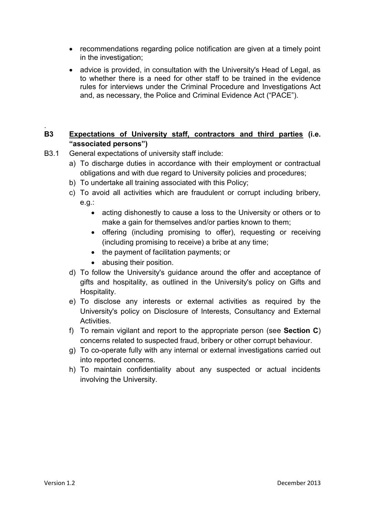- recommendations regarding police notification are given at a timely point in the investigation;
- advice is provided, in consultation with the University's Head of Legal, as to whether there is a need for other staff to be trained in the evidence rules for interviews under the Criminal Procedure and Investigations Act and, as necessary, the Police and Criminal Evidence Act ("PACE").

# **B3 Expectations of University staff, contractors and third parties (i.e. "associated persons")**

- B3.1 General expectations of university staff include:
	- a) To discharge duties in accordance with their employment or contractual obligations and with due regard to University policies and procedures;
	- b) To undertake all training associated with this Policy;
	- c) To avoid all activities which are fraudulent or corrupt including bribery, e.g.:
		- acting dishonestly to cause a loss to the University or others or to make a gain for themselves and/or parties known to them;
		- offering (including promising to offer), requesting or receiving (including promising to receive) a bribe at any time;
		- the payment of facilitation payments; or
		- abusing their position.
	- d) To follow the University's guidance around the offer and acceptance of gifts and hospitality, as outlined in the University's policy on Gifts and Hospitality.
	- e) To disclose any interests or external activities as required by the University's policy on Disclosure of Interests, Consultancy and External Activities.
	- f) To remain vigilant and report to the appropriate person (see **Section C**) concerns related to suspected fraud, bribery or other corrupt behaviour.
	- g) To co-operate fully with any internal or external investigations carried out into reported concerns.
	- h) To maintain confidentiality about any suspected or actual incidents involving the University.

.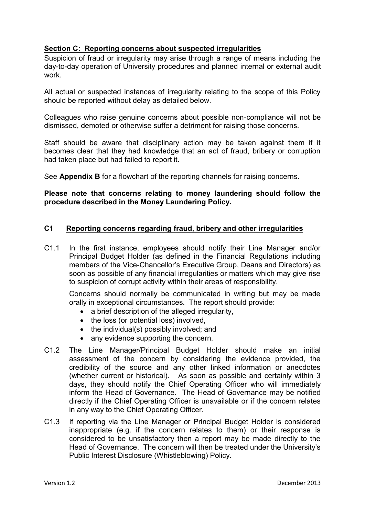# **Section C: Reporting concerns about suspected irregularities**

Suspicion of fraud or irregularity may arise through a range of means including the day-to-day operation of University procedures and planned internal or external audit work.

All actual or suspected instances of irregularity relating to the scope of this Policy should be reported without delay as detailed below.

Colleagues who raise genuine concerns about possible non-compliance will not be dismissed, demoted or otherwise suffer a detriment for raising those concerns.

Staff should be aware that disciplinary action may be taken against them if it becomes clear that they had knowledge that an act of fraud, bribery or corruption had taken place but had failed to report it.

See **Appendix B** for a flowchart of the reporting channels for raising concerns.

## **Please note that concerns relating to money laundering should follow the procedure described in the Money Laundering Policy.**

# **C1 Reporting concerns regarding fraud, bribery and other irregularities**

C1.1 In the first instance, employees should notify their Line Manager and/or Principal Budget Holder (as defined in the Financial Regulations including members of the Vice-Chancellor's Executive Group, Deans and Directors) as soon as possible of any financial irregularities or matters which may give rise to suspicion of corrupt activity within their areas of responsibility.

Concerns should normally be communicated in writing but may be made orally in exceptional circumstances. The report should provide:

- a brief description of the alleged irregularity,
- the loss (or potential loss) involved,
- the individual(s) possibly involved; and
- any evidence supporting the concern.
- C1.2 The Line Manager/Principal Budget Holder should make an initial assessment of the concern by considering the evidence provided, the credibility of the source and any other linked information or anecdotes (whether current or historical). As soon as possible and certainly within 3 days, they should notify the Chief Operating Officer who will immediately inform the Head of Governance. The Head of Governance may be notified directly if the Chief Operating Officer is unavailable or if the concern relates in any way to the Chief Operating Officer.
- C1.3 If reporting via the Line Manager or Principal Budget Holder is considered inappropriate (e.g. if the concern relates to them) or their response is considered to be unsatisfactory then a report may be made directly to the Head of Governance. The concern will then be treated under the University's Public Interest Disclosure (Whistleblowing) Policy.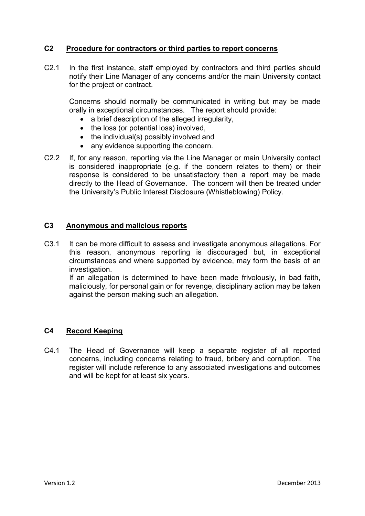# **C2 Procedure for contractors or third parties to report concerns**

C2.1 In the first instance, staff employed by contractors and third parties should notify their Line Manager of any concerns and/or the main University contact for the project or contract.

Concerns should normally be communicated in writing but may be made orally in exceptional circumstances. The report should provide:

- a brief description of the alleged irregularity,
- the loss (or potential loss) involved,
- $\bullet$  the individual(s) possibly involved and
- any evidence supporting the concern.
- C2.2 If, for any reason, reporting via the Line Manager or main University contact is considered inappropriate (e.g. if the concern relates to them) or their response is considered to be unsatisfactory then a report may be made directly to the Head of Governance. The concern will then be treated under the University's Public Interest Disclosure (Whistleblowing) Policy.

#### **C3 Anonymous and malicious reports**

C3.1 It can be more difficult to assess and investigate anonymous allegations. For this reason, anonymous reporting is discouraged but, in exceptional circumstances and where supported by evidence, may form the basis of an investigation.

If an allegation is determined to have been made frivolously, in bad faith, maliciously, for personal gain or for revenge, disciplinary action may be taken against the person making such an allegation.

### **C4 Record Keeping**

C4.1 The Head of Governance will keep a separate register of all reported concerns, including concerns relating to fraud, bribery and corruption. The register will include reference to any associated investigations and outcomes and will be kept for at least six years.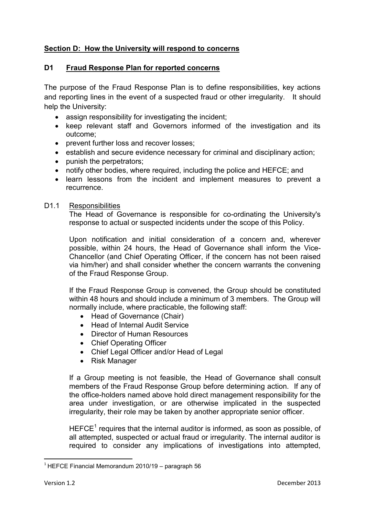# **Section D: How the University will respond to concerns**

# **D1 Fraud Response Plan for reported concerns**

The purpose of the Fraud Response Plan is to define responsibilities, key actions and reporting lines in the event of a suspected fraud or other irregularity. It should help the University:

- assign responsibility for investigating the incident;
- keep relevant staff and Governors informed of the investigation and its outcome;
- prevent further loss and recover losses;
- establish and secure evidence necessary for criminal and disciplinary action;
- punish the perpetrators;
- notify other bodies, where required, including the police and HEFCE; and
- learn lessons from the incident and implement measures to prevent a recurrence.

### D<sub>1.1</sub> Responsibilities

The Head of Governance is responsible for co-ordinating the University's response to actual or suspected incidents under the scope of this Policy.

Upon notification and initial consideration of a concern and, wherever possible, within 24 hours, the Head of Governance shall inform the Vice-Chancellor (and Chief Operating Officer, if the concern has not been raised via him/her) and shall consider whether the concern warrants the convening of the Fraud Response Group.

If the Fraud Response Group is convened, the Group should be constituted within 48 hours and should include a minimum of 3 members. The Group will normally include, where practicable, the following staff:

- Head of Governance (Chair)
- Head of Internal Audit Service
- Director of Human Resources
- Chief Operating Officer
- Chief Legal Officer and/or Head of Legal
- Risk Manager

If a Group meeting is not feasible, the Head of Governance shall consult members of the Fraud Response Group before determining action. If any of the office-holders named above hold direct management responsibility for the area under investigation, or are otherwise implicated in the suspected irregularity, their role may be taken by another appropriate senior officer.

HEFCE<sup>1</sup> requires that the internal auditor is informed, as soon as possible, of all attempted, suspected or actual fraud or irregularity. The internal auditor is required to consider any implications of investigations into attempted,

 $\overline{a}$ 

 $1$  HEFCE Financial Memorandum 2010/19 – paragraph 56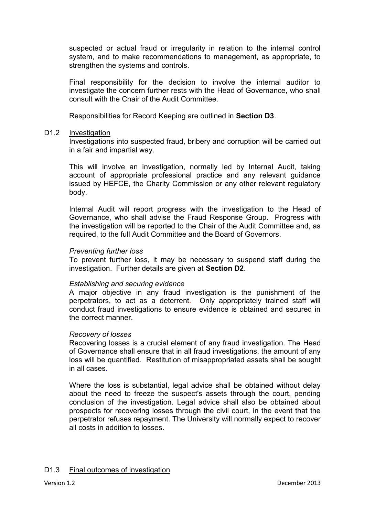suspected or actual fraud or irregularity in relation to the internal control system, and to make recommendations to management, as appropriate, to strengthen the systems and controls.

Final responsibility for the decision to involve the internal auditor to investigate the concern further rests with the Head of Governance, who shall consult with the Chair of the Audit Committee.

Responsibilities for Record Keeping are outlined in **Section D3**.

#### D1.2 Investigation

Investigations into suspected fraud, bribery and corruption will be carried out in a fair and impartial way.

This will involve an investigation, normally led by Internal Audit, taking account of appropriate professional practice and any relevant guidance issued by HEFCE, the Charity Commission or any other relevant regulatory body.

Internal Audit will report progress with the investigation to the Head of Governance, who shall advise the Fraud Response Group. Progress with the investigation will be reported to the Chair of the Audit Committee and, as required, to the full Audit Committee and the Board of Governors.

#### *Preventing further loss*

To prevent further loss, it may be necessary to suspend staff during the investigation. Further details are given at **Section D2**.

### *Establishing and securing evidence*

A major objective in any fraud investigation is the punishment of the perpetrators, to act as a deterrent. Only appropriately trained staff will conduct fraud investigations to ensure evidence is obtained and secured in the correct manner.

#### *Recovery of losses*

Recovering losses is a crucial element of any fraud investigation. The Head of Governance shall ensure that in all fraud investigations, the amount of any loss will be quantified. Restitution of misappropriated assets shall be sought in all cases.

Where the loss is substantial, legal advice shall be obtained without delay about the need to freeze the suspect's assets through the court, pending conclusion of the investigation. Legal advice shall also be obtained about prospects for recovering losses through the civil court, in the event that the perpetrator refuses repayment. The University will normally expect to recover all costs in addition to losses.

### D1.3 Final outcomes of investigation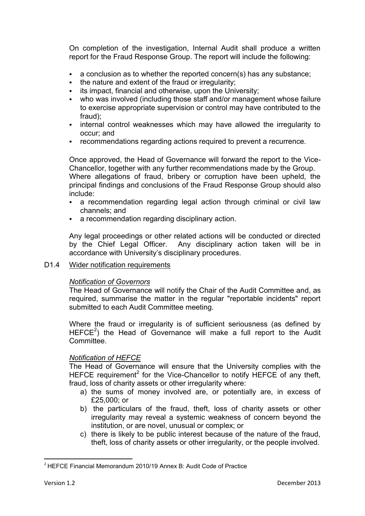On completion of the investigation, Internal Audit shall produce a written report for the Fraud Response Group. The report will include the following:

- a conclusion as to whether the reported concern(s) has any substance;
- $\bullet$  the nature and extent of the fraud or irregularity;
- $\blacksquare$  its impact, financial and otherwise, upon the University;
- who was involved (including those staff and/or management whose failure to exercise appropriate supervision or control may have contributed to the fraud);
- **EXED** internal control weaknesses which may have allowed the irregularity to occur; and
- **Fig. 2** recommendations regarding actions required to prevent a recurrence.

Once approved, the Head of Governance will forward the report to the Vice-Chancellor, together with any further recommendations made by the Group. Where allegations of fraud, bribery or corruption have been upheld, the principal findings and conclusions of the Fraud Response Group should also include:

- a recommendation regarding legal action through criminal or civil law channels; and
- a recommendation regarding disciplinary action.

Any legal proceedings or other related actions will be conducted or directed by the Chief Legal Officer. Any disciplinary action taken will be in accordance with University's disciplinary procedures.

### D1.4 Wider notification requirements

### *Notification of Governors*

The Head of Governance will notify the Chair of the Audit Committee and, as required, summarise the matter in the regular "reportable incidents" report submitted to each Audit Committee meeting.

<span id="page-8-0"></span>Where the fraud or irregularity is of sufficient seriousness (as defined by  $HEFCE<sup>2</sup>$ ) the Head of Governance will make a full report to the Audit **Committee.** 

### *Notification of HEFCE*

The Head of Governance will ensure that the University complies with the HEFCE requiremen[t](#page-8-0)<sup>2</sup> for the Vice-Chancellor to notify  $H$ EFCE of any theft, fraud, loss of charity assets or other irregularity where:

- a) the sums of money involved are, or potentially are, in excess of £25,000; or
- b) the particulars of the fraud, theft, loss of charity assets or other irregularity may reveal a systemic weakness of concern beyond the institution, or are novel, unusual or complex; or
- c) there is likely to be public interest because of the nature of the fraud, theft, loss of charity assets or other irregularity, or the people involved.

 $\overline{a}$ 

 $2$  HEFCE Financial Memorandum 2010/19 Annex B: Audit Code of Practice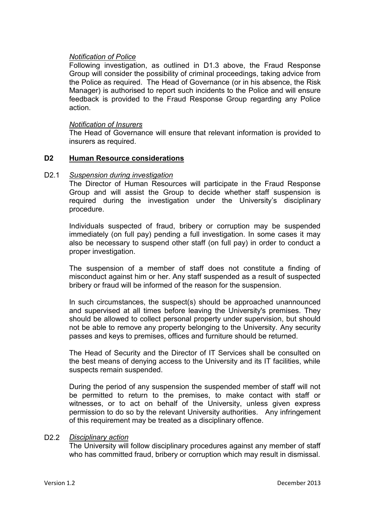### *Notification of Police*

Following investigation, as outlined in D1.3 above, the Fraud Response Group will consider the possibility of criminal proceedings, taking advice from the Police as required. The Head of Governance (or in his absence, the Risk Manager) is authorised to report such incidents to the Police and will ensure feedback is provided to the Fraud Response Group regarding any Police action.

#### *Notification of Insurers*

The Head of Governance will ensure that relevant information is provided to insurers as required.

#### **D2 Human Resource considerations**

#### D2.1 *Suspension during investigation*

The Director of Human Resources will participate in the Fraud Response Group and will assist the Group to decide whether staff suspension is required during the investigation under the University's disciplinary procedure.

Individuals suspected of fraud, bribery or corruption may be suspended immediately (on full pay) pending a full investigation. In some cases it may also be necessary to suspend other staff (on full pay) in order to conduct a proper investigation.

The suspension of a member of staff does not constitute a finding of misconduct against him or her. Any staff suspended as a result of suspected bribery or fraud will be informed of the reason for the suspension.

In such circumstances, the suspect(s) should be approached unannounced and supervised at all times before leaving the University's premises. They should be allowed to collect personal property under supervision, but should not be able to remove any property belonging to the University. Any security passes and keys to premises, offices and furniture should be returned.

The Head of Security and the Director of IT Services shall be consulted on the best means of denying access to the University and its IT facilities, while suspects remain suspended.

During the period of any suspension the suspended member of staff will not be permitted to return to the premises, to make contact with staff or witnesses, or to act on behalf of the University, unless given express permission to do so by the relevant University authorities. Any infringement of this requirement may be treated as a disciplinary offence.

#### D2.2 *Disciplinary action*

The University will follow disciplinary procedures against any member of staff who has committed fraud, bribery or corruption which may result in dismissal.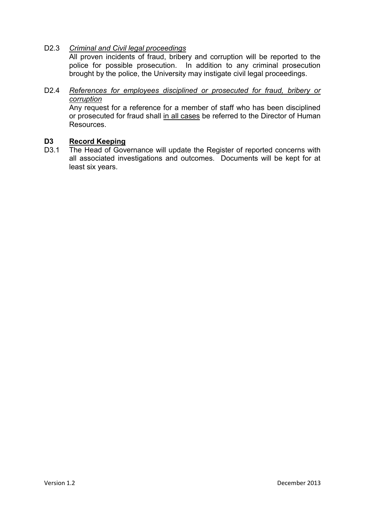# D2.3 *Criminal and Civil legal proceedings*

All proven incidents of fraud, bribery and corruption will be reported to the police for possible prosecution. In addition to any criminal prosecution brought by the police, the University may instigate civil legal proceedings.

# D2.4 *References for employees disciplined or prosecuted for fraud, bribery or corruption*

Any request for a reference for a member of staff who has been disciplined or prosecuted for fraud shall in all cases be referred to the Director of Human Resources.

## **D3 Record Keeping**

D3.1 The Head of Governance will update the Register of reported concerns with all associated investigations and outcomes. Documents will be kept for at least six years.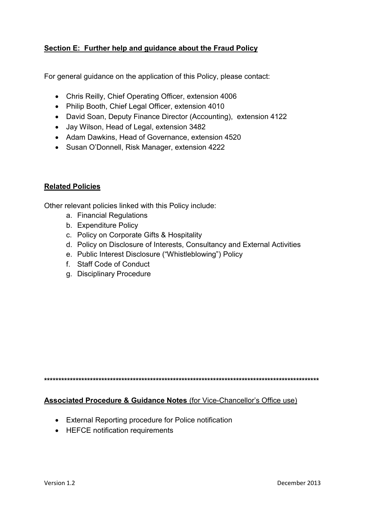# **Section E: Further help and guidance about the Fraud Policy**

For general guidance on the application of this Policy, please contact:

- Chris Reilly, Chief Operating Officer, extension 4006
- Philip Booth, Chief Legal Officer, extension 4010
- David Soan, Deputy Finance Director (Accounting), extension 4122
- Jay Wilson, Head of Legal, extension 3482
- Adam Dawkins, Head of Governance, extension 4520
- Susan O'Donnell, Risk Manager, extension 4222

# **Related Policies**

Other relevant policies linked with this Policy include:

- a. Financial Regulations
- b. Expenditure Policy
- c. Policy on Corporate Gifts & Hospitality
- d. Policy on Disclosure of Interests, Consultancy and External Activities
- e. Public Interest Disclosure ("Whistleblowing") Policy
- f. Staff Code of Conduct
- g. Disciplinary Procedure

**\*\*\*\*\*\*\*\*\*\*\*\*\*\*\*\*\*\*\*\*\*\*\*\*\*\*\*\*\*\*\*\*\*\*\*\*\*\*\*\*\*\*\*\*\*\*\*\*\*\*\*\*\*\*\*\*\*\*\*\*\*\*\*\*\*\*\*\*\*\*\*\*\*\*\*\*\*\*\*\*\*\*\*\*\*\*\*\*\*\*\*\*\*\*\*\***

# **Associated Procedure & Guidance Notes** (for Vice-Chancellor's Office use)

- External Reporting procedure for Police notification
- HEFCE notification requirements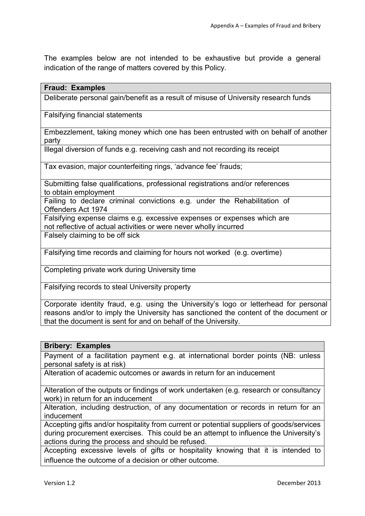The examples below are not intended to be exhaustive but provide a general indication of the range of matters covered by this Policy.

| Deliberate personal gain/benefit as a result of misuse of University research funds                                                          |
|----------------------------------------------------------------------------------------------------------------------------------------------|
| <b>Falsifying financial statements</b>                                                                                                       |
| Embezzlement, taking money which one has been entrusted with on behalf of another<br>party                                                   |
| Illegal diversion of funds e.g. receiving cash and not recording its receipt                                                                 |
| Tax evasion, major counterfeiting rings, 'advance fee' frauds;                                                                               |
| Submitting false qualifications, professional registrations and/or references<br>to obtain employment                                        |
| Failing to declare criminal convictions e.g. under the Rehabilitation of<br>Offenders Act 1974                                               |
| Falsifying expense claims e.g. excessive expenses or expenses which are<br>not reflective of actual activities or were never wholly incurred |
| Falsely claiming to be off sick                                                                                                              |
| Falsifying time records and claiming for hours not worked (e.g. overtime)                                                                    |

Completing private work during University time

Falsifying records to steal University property

Corporate identity fraud, e.g. using the University's logo or letterhead for personal reasons and/or to imply the University has sanctioned the content of the document or that the document is sent for and on behalf of the University.

#### **Bribery: Examples**

**Fraud: Examples**

Payment of a facilitation payment e.g. at international border points (NB: unless personal safety is at risk)

Alteration of academic outcomes or awards in return for an inducement

Alteration of the outputs or findings of work undertaken (e.g. research or consultancy work) in return for an inducement

Alteration, including destruction, of any documentation or records in return for an inducement

Accepting gifts and/or hospitality from current or potential suppliers of goods/services during procurement exercises. This could be an attempt to influence the University's actions during the process and should be refused.

Accepting excessive levels of gifts or hospitality knowing that it is intended to influence the outcome of a decision or other outcome.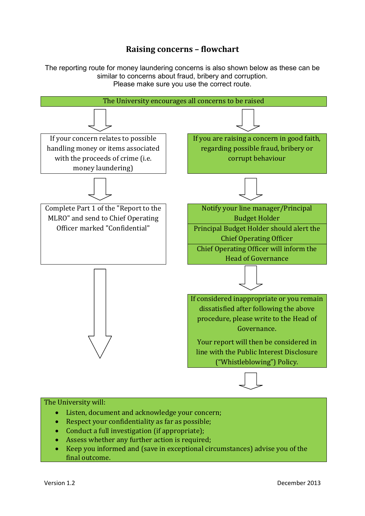# **Raising concerns – flowchart**

The reporting route for money laundering concerns is also shown below as these can be similar to concerns about fraud, bribery and corruption. Please make sure you use the correct route.



#### The University will:

- Listen, document and acknowledge your concern;
- Respect your confidentiality as far as possible;
- Conduct a full investigation (if appropriate);
- Assess whether any further action is required:
- Keep you informed and (save in exceptional circumstances) advise you of the final outcome.